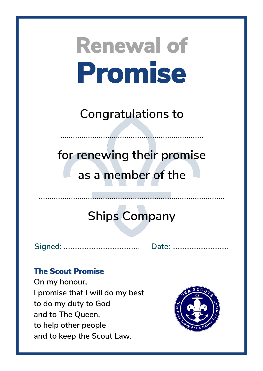**Congratulations to**

……………………………………………….…………

**for renewing their promise as a member of the**

### **Ships Company**

**Signed:** ……………...……………………. **Date:** …………………....…….

#### **The Scout Promise**

**On my honour, I promise that I will do my best to do my duty to God and to The Queen, to help other people and to keep the Scout Law.**

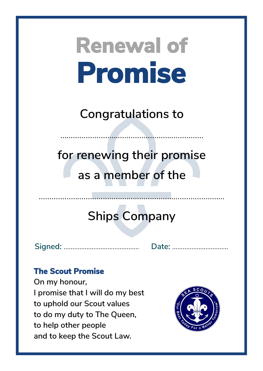**Congratulations to**

……………………………………………….…………

**for renewing their promise as a member of the**

### **Ships Company**

……………………………………...……………………………………

**Signed:** ……………...……………………. **Date:** …………………....…….

#### **The Scout Promise**

**On my honour, I promise that I will do my best to uphold our Scout values to do my duty to The Queen, to help other people and to keep the Scout Law.**

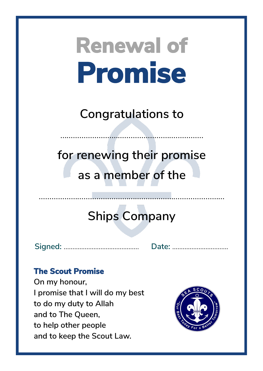**Congratulations to**

……………………………………………….…………

**for renewing their promise as a member of the**

### **Ships Company**

**Signed:** ……………...……………………. **Date:** …………………....…….

#### **The Scout Promise**

**On my honour, I promise that I will do my best to do my duty to Allah and to The Queen, to help other people and to keep the Scout Law.**

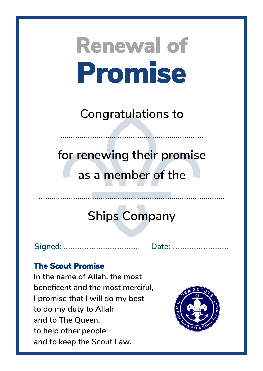**Congratulations to**

……………………………………………….…………

**for renewing their promise as a member of the**

### **Ships Company**

**Signed:** ……………...……………………. **Date:** …………………....…….

#### **The Scout Promise**

**In the name of Allah, the most beneficent and the most merciful, I promise that I will do my best to do my duty to Allah and to The Queen, to help other people and to keep the Scout Law.**

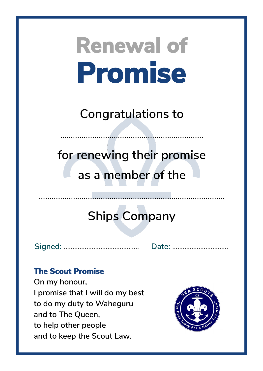**Congratulations to**

……………………………………………….…………

**for renewing their promise as a member of the**

### **Ships Company**

……………………………………...……………………………………

**Signed:** ……………...……………………. **Date:** …………………....…….

#### **The Scout Promise**

**On my honour, I promise that I will do my best to do my duty to Waheguru and to The Queen, to help other people and to keep the Scout Law.**

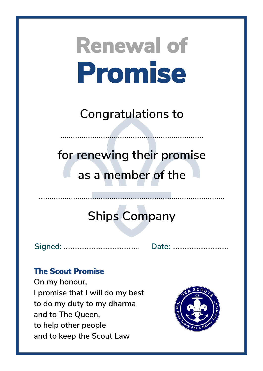**Congratulations to**

……………………………………………….…………

**for renewing their promise as a member of the**

### **Ships Company**

**Signed:** ……………...……………………. **Date:** …………………....…….

#### **The Scout Promise**

**On my honour, I promise that I will do my best to do my duty to my dharma and to The Queen, to help other people and to keep the Scout Law**